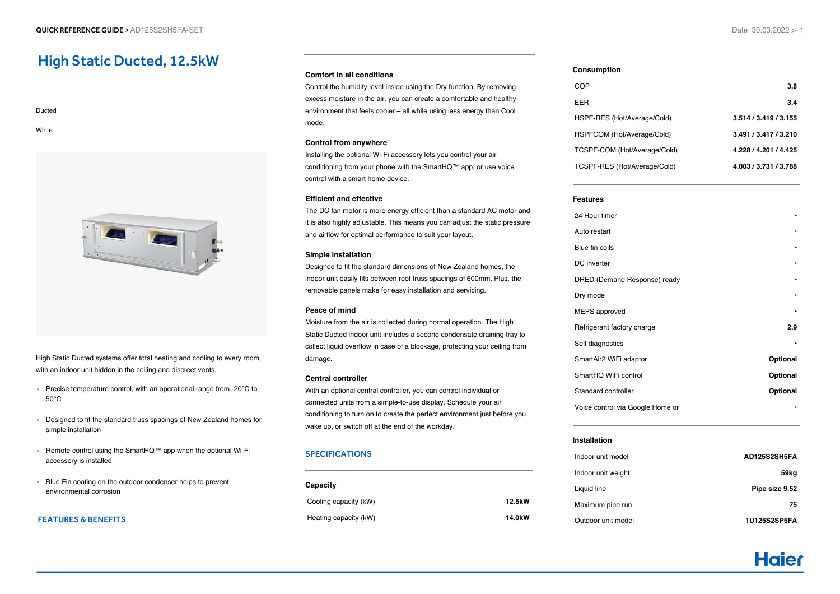# High Static Ducted, 12.5kW

Ducted **White** 

High Static Ducted systems offer total heating and cooling to every room, with an indoor unit hidden in the ceiling and discreet vents.

- Precise temperature control, with an operational range from -20°C to 50°C
- Designed to fit the standard truss spacings of New Zealand homes for simple installation
- Remote control using the SmartHQ™ app when the optional Wi-Fi accessory is installed
- Blue Fin coating on the outdoor condenser helps to prevent environmental corrosion

## FEATURES & BENEFITS

### **Comfort in all conditions**

Control the humidity level inside using the Dry function. By removing excess moisture in the air, you can create a comfortable and healthy environment that feels cooler – all while using less energy than Cool mode.

#### **Control from anywhere**

Installing the optional Wi-Fi accessory lets you control your air conditioning from your phone with the SmartHQ™ app, or use voice control with a smart home device.

#### **Efficient and effective**

The DC fan motor is more energy efficient than a standard AC motor and it is also highly adjustable. This means you can adjust the static pressure and airflow for optimal performance to suit your layout.

#### **Simple installation**

Designed to fit the standard dimensions of New Zealand homes, the indoor unit easily fits between roof truss spacings of 600mm. Plus, the removable panels make for easy installation and servicing.

#### **Peace of mind**

Moisture from the air is collected during normal operation. The High Static Ducted indoor unit includes a second condensate draining tray to collect liquid overflow in case of a blockage, protecting your ceiling from damage.

## **Central controller**

With an optional central controller, you can control individual or connected units from a simple-to-use display. Schedule your air conditioning to turn on to create the perfect environment just before you wake up, or switch off at the end of the workday.

## SPECIFICATIONS

| Capacity              |                     |
|-----------------------|---------------------|
| Cooling capacity (kW) | 12.5kW              |
| Heating capacity (kW) | 14.0 <sub>k</sub> W |

#### **Consumption**

| COP                          | 3.8                   |
|------------------------------|-----------------------|
| EER                          | 3.4                   |
| HSPF-RES (Hot/Average/Cold)  | 3.514 / 3.419 / 3.155 |
| HSPFCOM (Hot/Average/Cold)   | 3.491 / 3.417 / 3.210 |
| TCSPF-COM (Hot/Average/Cold) | 4.228 / 4.201 / 4.425 |
| TCSPF-RES (Hot/Average/Cold) | 4.003 / 3.731 / 3.788 |
|                              |                       |

#### **Features**

| 24 Hour timer                    |          |
|----------------------------------|----------|
| Auto restart                     |          |
| Blue fin coils                   |          |
| DC inverter                      |          |
| DRED (Demand Response) ready     |          |
| Dry mode                         |          |
| <b>MEPS</b> approved             |          |
| Refrigerant factory charge       | 2.9      |
| Self diagnostics                 |          |
| SmartAir2 WiFi adaptor           | Optional |
| SmartHQ WiFi control             | Optional |
| Standard controller              | Optional |
| Voice control via Google Home or |          |
|                                  |          |

## **Installation**

| Indoor unit model  | AD125S2SH5FA   |
|--------------------|----------------|
| Indoor unit weight | 59kg           |
| Liquid line        | Pipe size 9.52 |
| Maximum pipe run   | 75             |
| Outdoor unit model | 1U125S2SP5FA   |